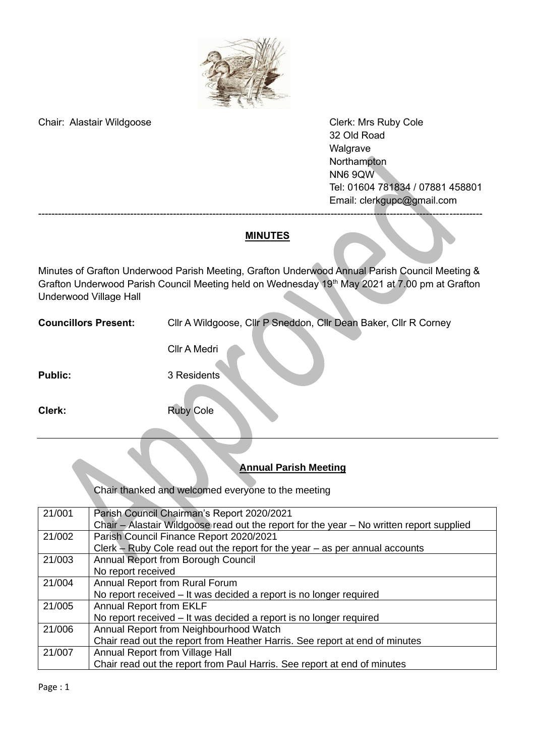

Chair: Alastair Wildgoose Chair: Alastair Wildgoose Chair: Alastair Wildgoose Chair: Alastair Wildgoose Chair

32 Old Road Walgrave **Northampton** NN6 9QW Tel: 01604 781834 / 07881 458801 Email: [clerkgupc@gmail.com](mailto:clerkgupc@gmail.com)

### **MINUTES**

---------------------------------------------------------------------------------------------------------------------------------------

Minutes of Grafton Underwood Parish Meeting, Grafton Underwood Annual Parish Council Meeting & Grafton Underwood Parish Council Meeting held on Wednesday 19<sup>th</sup> May 2021 at 7.00 pm at Grafton Underwood Village Hall

**Councillors Present:** Cllr A Wildgoose, Cllr P Sneddon, Cllr Dean Baker, Cllr R Corney

Cllr A Medri

Public: 3 Residents<sup>3</sup>

**Clerk:** Ruby Cole

## **Annual Parish Meeting**

Chair thanked and welcomed everyone to the meeting

| 21/001 | Parish Council Chairman's Report 2020/2021                                               |
|--------|------------------------------------------------------------------------------------------|
|        | Chair - Alastair Wildgoose read out the report for the year - No written report supplied |
| 21/002 | Parish Council Finance Report 2020/2021                                                  |
|        | Clerk $-$ Ruby Cole read out the report for the year $-$ as per annual accounts          |
| 21/003 | Annual Report from Borough Council                                                       |
|        | No report received                                                                       |
| 21/004 | Annual Report from Rural Forum                                                           |
|        | No report received – It was decided a report is no longer required                       |
| 21/005 | <b>Annual Report from EKLF</b>                                                           |
|        | No report received - It was decided a report is no longer required                       |
| 21/006 | Annual Report from Neighbourhood Watch                                                   |
|        | Chair read out the report from Heather Harris. See report at end of minutes              |
| 21/007 | Annual Report from Village Hall                                                          |
|        | Chair read out the report from Paul Harris. See report at end of minutes                 |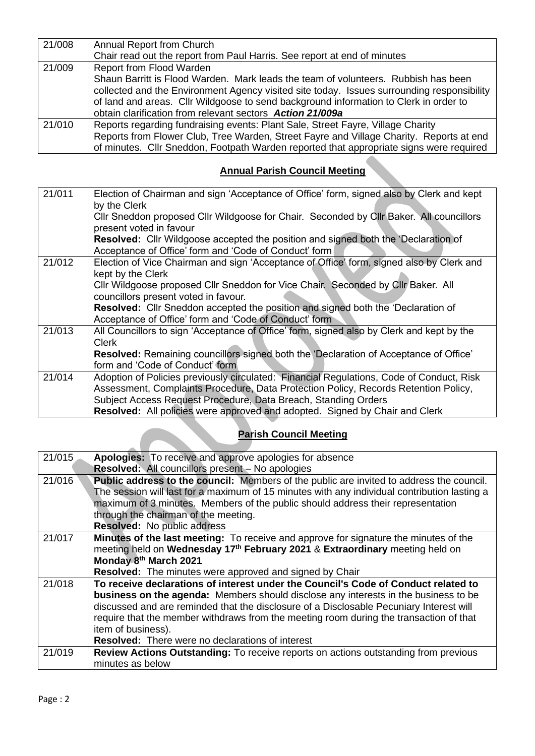| 21/008 | Annual Report from Church                                                                  |  |
|--------|--------------------------------------------------------------------------------------------|--|
|        | Chair read out the report from Paul Harris. See report at end of minutes                   |  |
| 21/009 | Report from Flood Warden                                                                   |  |
|        | Shaun Barritt is Flood Warden. Mark leads the team of volunteers. Rubbish has been         |  |
|        | collected and the Environment Agency visited site today. Issues surrounding responsibility |  |
|        | of land and areas. Cllr Wildgoose to send background information to Clerk in order to      |  |
|        | obtain clarification from relevant sectors Action 21/009a                                  |  |
| 21/010 | Reports regarding fundraising events: Plant Sale, Street Fayre, Village Charity            |  |
|        | Reports from Flower Club, Tree Warden, Street Fayre and Village Charity. Reports at end    |  |
|        | of minutes. Cllr Sneddon, Footpath Warden reported that appropriate signs were required    |  |

## **Annual Parish Council Meeting**

| 21/011 | Election of Chairman and sign 'Acceptance of Office' form, signed also by Clerk and kept<br>by the Clerk                                                                        |
|--------|---------------------------------------------------------------------------------------------------------------------------------------------------------------------------------|
|        | Cllr Sneddon proposed Cllr Wildgoose for Chair. Seconded by Cllr Baker. All councillors<br>present voted in favour                                                              |
|        | Resolved: Cllr Wildgoose accepted the position and signed both the 'Declaration of<br>Acceptance of Office' form and 'Code of Conduct' form                                     |
| 21/012 | Election of Vice Chairman and sign 'Acceptance of Office' form, signed also by Clerk and<br>kept by the Clerk                                                                   |
|        | CIIr Wildgoose proposed CIIr Sneddon for Vice Chair. Seconded by CIIr Baker. All<br>councillors present voted in favour.                                                        |
|        | <b>Resolved:</b> Cllr Sneddon accepted the position and signed both the 'Declaration of<br>Acceptance of Office' form and 'Code of Conduct' form                                |
| 21/013 | All Councillors to sign 'Acceptance of Office' form, signed also by Clerk and kept by the<br>Clerk                                                                              |
|        | Resolved: Remaining councillors signed both the 'Declaration of Acceptance of Office'<br>form and 'Code of Conduct' form                                                        |
| 21/014 | Adoption of Policies previously circulated: Financial Regulations, Code of Conduct, Risk<br>Assessment, Complaints Procedure, Data Protection Policy, Records Retention Policy, |
|        | Subject Access Request Procedure, Data Breach, Standing Orders<br>Resolved: All policies were approved and adopted. Signed by Chair and Clerk                                   |

**CONTRACTOR** 

### **Parish Council Meeting**

| 21/015 | Apologies: To receive and approve apologies for absence                                      |
|--------|----------------------------------------------------------------------------------------------|
|        | <b>Resolved: All councillors present - No apologies</b>                                      |
| 21/016 | Public address to the council: Members of the public are invited to address the council.     |
|        | The session will last for a maximum of 15 minutes with any individual contribution lasting a |
|        | maximum of 3 minutes. Members of the public should address their representation              |
|        | through the chairman of the meeting.                                                         |
|        | <b>Resolved:</b> No public address                                                           |
| 21/017 | Minutes of the last meeting: To receive and approve for signature the minutes of the         |
|        | meeting held on Wednesday 17 <sup>th</sup> February 2021 & Extraordinary meeting held on     |
|        | Monday 8th March 2021                                                                        |
|        | Resolved: The minutes were approved and signed by Chair                                      |
| 21/018 | To receive declarations of interest under the Council's Code of Conduct related to           |
|        | <b>business on the agenda:</b> Members should disclose any interests in the business to be   |
|        | discussed and are reminded that the disclosure of a Disclosable Pecuniary Interest will      |
|        | require that the member withdraws from the meeting room during the transaction of that       |
|        | item of business).                                                                           |
|        | <b>Resolved:</b> There were no declarations of interest                                      |
| 21/019 | Review Actions Outstanding: To receive reports on actions outstanding from previous          |
|        | minutes as below                                                                             |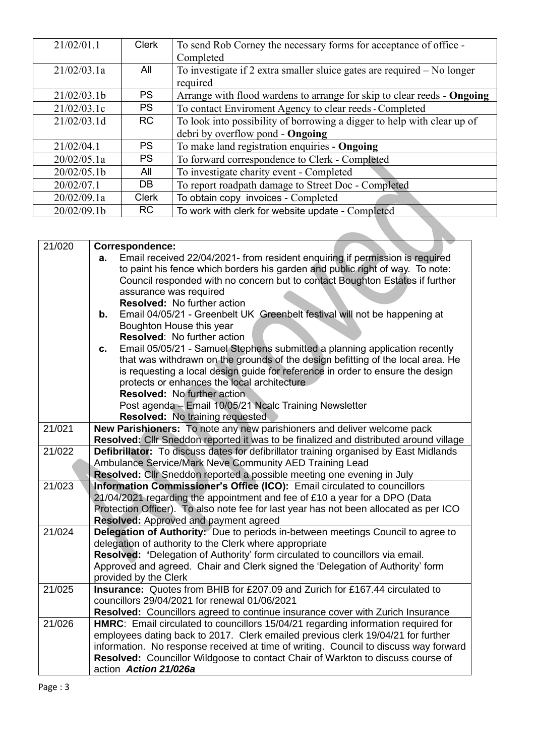| 21/02/01.1  | Clerk        | To send Rob Corney the necessary forms for acceptance of office -       |
|-------------|--------------|-------------------------------------------------------------------------|
|             |              | Completed                                                               |
| 21/02/03.1a | All          | To investigate if 2 extra smaller sluice gates are required - No longer |
|             |              | required                                                                |
| 21/02/03.1b | <b>PS</b>    | Arrange with flood wardens to arrange for skip to clear reeds - Ongoing |
| 21/02/03.1c | <b>PS</b>    | To contact Enviroment Agency to clear reeds - Completed                 |
| 21/02/03.1d | <b>RC</b>    | To look into possibility of borrowing a digger to help with clear up of |
|             |              | debri by overflow pond - Ongoing                                        |
| 21/02/04.1  | <b>PS</b>    | To make land registration enquiries - Ongoing                           |
| 20/02/05.1a | <b>PS</b>    | To forward correspondence to Clerk - Completed                          |
| 20/02/05.1b | All          | To investigate charity event - Completed                                |
| 20/02/07.1  | <b>DB</b>    | To report roadpath damage to Street Doc - Completed                     |
| 20/02/09.1a | <b>Clerk</b> | To obtain copy invoices - Completed                                     |
| 20/02/09.1b | <b>RC</b>    | To work with clerk for website update - Completed                       |

| 21/020 | Correspondence:                                                                                                                                                     |  |  |
|--------|---------------------------------------------------------------------------------------------------------------------------------------------------------------------|--|--|
|        | Email received 22/04/2021- from resident enquiring if permission is required<br>а.                                                                                  |  |  |
|        | to paint his fence which borders his garden and public right of way. To note:                                                                                       |  |  |
|        | Council responded with no concern but to contact Boughton Estates if further                                                                                        |  |  |
|        | assurance was required                                                                                                                                              |  |  |
|        | <b>Resolved:</b> No further action                                                                                                                                  |  |  |
|        | Email 04/05/21 - Greenbelt UK Greenbelt festival will not be happening at<br>b.                                                                                     |  |  |
|        | Boughton House this year                                                                                                                                            |  |  |
|        | <b>Resolved: No further action</b>                                                                                                                                  |  |  |
|        | Email 05/05/21 - Samuel Stephens submitted a planning application recently<br>C.                                                                                    |  |  |
|        | that was withdrawn on the grounds of the design befitting of the local area. He                                                                                     |  |  |
|        | is requesting a local design guide for reference in order to ensure the design                                                                                      |  |  |
|        | protects or enhances the local architecture                                                                                                                         |  |  |
|        | <b>Resolved: No further action</b>                                                                                                                                  |  |  |
|        | Post agenda - Email 10/05/21 Ncalc Training Newsletter                                                                                                              |  |  |
| 21/021 | Resolved: No training requested                                                                                                                                     |  |  |
|        | New Parishioners: To note any new parishioners and deliver welcome pack                                                                                             |  |  |
| 21/022 | Resolved: Cllr Sneddon reported it was to be finalized and distributed around village                                                                               |  |  |
|        | Defibrillator: To discuss dates for defibrillator training organised by East Midlands                                                                               |  |  |
|        | Ambulance Service/Mark Neve Community AED Training Lead<br>Resolved: Cllr Sneddon reported a possible meeting one evening in July                                   |  |  |
| 21/023 | Information Commissioner's Office (ICO): Email circulated to councillors                                                                                            |  |  |
|        |                                                                                                                                                                     |  |  |
|        | 21/04/2021 regarding the appointment and fee of £10 a year for a DPO (Data<br>Protection Officer). To also note fee for last year has not been allocated as per ICO |  |  |
|        | Resolved: Approved and payment agreed                                                                                                                               |  |  |
| 21/024 | Delegation of Authority: Due to periods in-between meetings Council to agree to                                                                                     |  |  |
|        | delegation of authority to the Clerk where appropriate                                                                                                              |  |  |
|        | Resolved: 'Delegation of Authority' form circulated to councillors via email.                                                                                       |  |  |
|        | Approved and agreed. Chair and Clerk signed the 'Delegation of Authority' form                                                                                      |  |  |
|        | provided by the Clerk                                                                                                                                               |  |  |
| 21/025 | Insurance: Quotes from BHIB for £207.09 and Zurich for £167.44 circulated to                                                                                        |  |  |
|        | councillors 29/04/2021 for renewal 01/06/2021                                                                                                                       |  |  |
|        | Resolved: Councillors agreed to continue insurance cover with Zurich Insurance                                                                                      |  |  |
| 21/026 | HMRC: Email circulated to councillors 15/04/21 regarding information required for                                                                                   |  |  |
|        | employees dating back to 2017. Clerk emailed previous clerk 19/04/21 for further                                                                                    |  |  |
|        | information. No response received at time of writing. Council to discuss way forward                                                                                |  |  |
|        | Resolved: Councillor Wildgoose to contact Chair of Warkton to discuss course of                                                                                     |  |  |
|        | action Action 21/026a                                                                                                                                               |  |  |
|        |                                                                                                                                                                     |  |  |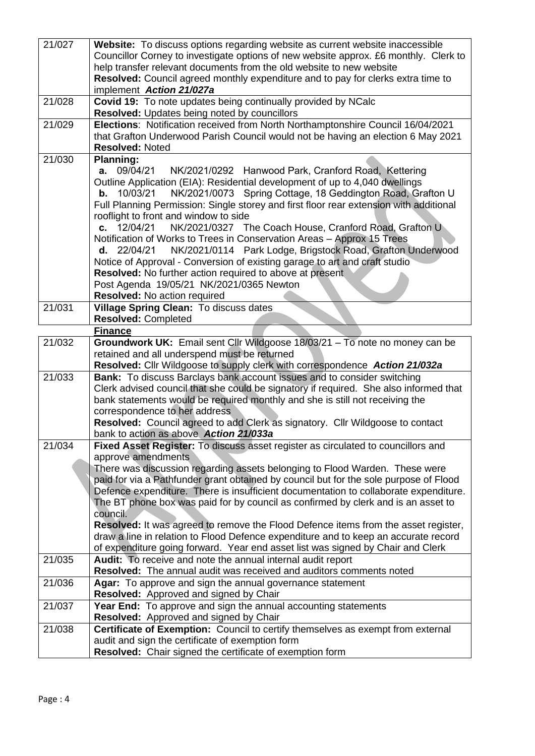| 21/027              | Website: To discuss options regarding website as current website inaccessible<br>Councillor Corney to investigate options of new website approx. £6 monthly. Clerk to         |  |  |
|---------------------|-------------------------------------------------------------------------------------------------------------------------------------------------------------------------------|--|--|
|                     | help transfer relevant documents from the old website to new website                                                                                                          |  |  |
|                     | Resolved: Council agreed monthly expenditure and to pay for clerks extra time to                                                                                              |  |  |
|                     | implement Action 21/027a                                                                                                                                                      |  |  |
| 21/028              | Covid 19: To note updates being continually provided by NCalc                                                                                                                 |  |  |
|                     | Resolved: Updates being noted by councillors                                                                                                                                  |  |  |
| 21/029              | Elections: Notification received from North Northamptonshire Council 16/04/2021<br>that Grafton Underwood Parish Council would not be having an election 6 May 2021           |  |  |
|                     | <b>Resolved: Noted</b>                                                                                                                                                        |  |  |
| 21/030              | <b>Planning:</b>                                                                                                                                                              |  |  |
|                     | a. 09/04/21<br>NK/2021/0292 Hanwood Park, Cranford Road, Kettering                                                                                                            |  |  |
|                     | Outline Application (EIA): Residential development of up to 4,040 dwellings                                                                                                   |  |  |
|                     | NK/2021/0073 Spring Cottage, 18 Geddington Road, Grafton U<br>10/03/21<br>b.                                                                                                  |  |  |
|                     | Full Planning Permission: Single storey and first floor rear extension with additional                                                                                        |  |  |
|                     | rooflight to front and window to side                                                                                                                                         |  |  |
|                     | c. $12/04/21$<br>NK/2021/0327 The Coach House, Cranford Road, Grafton U                                                                                                       |  |  |
|                     | Notification of Works to Trees in Conservation Areas - Approx 15 Trees                                                                                                        |  |  |
|                     | NK/2021/0114 Park Lodge, Brigstock Road, Grafton Underwood<br>d. 22/04/21                                                                                                     |  |  |
|                     | Notice of Approval - Conversion of existing garage to art and craft studio<br><b>Resolved:</b> No further action required to above at present                                 |  |  |
|                     | Post Agenda 19/05/21 NK/2021/0365 Newton                                                                                                                                      |  |  |
|                     | Resolved: No action required                                                                                                                                                  |  |  |
| 21/031              | Village Spring Clean: To discuss dates                                                                                                                                        |  |  |
|                     | <b>Resolved: Completed</b>                                                                                                                                                    |  |  |
|                     | <b>Finance</b>                                                                                                                                                                |  |  |
| $21/\overline{032}$ | Groundwork UK: Email sent Cllr Wildgoose 18/03/21 - To note no money can be                                                                                                   |  |  |
|                     | retained and all underspend must be returned                                                                                                                                  |  |  |
| 21/033              | Resolved: Cllr Wildgoose to supply clerk with correspondence Action 21/032a<br><b>Bank:</b> To discuss Barclays bank account issues and to consider switching                 |  |  |
|                     | Clerk advised council that she could be signatory if required. She also informed that                                                                                         |  |  |
|                     | bank statements would be required monthly and she is still not receiving the                                                                                                  |  |  |
|                     | correspondence to her address                                                                                                                                                 |  |  |
|                     | Resolved: Council agreed to add Clerk as signatory. Cllr Wildgoose to contact                                                                                                 |  |  |
|                     | bank to action as above Action 21/033a                                                                                                                                        |  |  |
| 21/034              | Fixed Asset Register: To discuss asset register as circulated to councillors and                                                                                              |  |  |
|                     | approve amendments                                                                                                                                                            |  |  |
|                     | There was discussion regarding assets belonging to Flood Warden. These were                                                                                                   |  |  |
|                     | paid for via a Pathfunder grant obtained by council but for the sole purpose of Flood<br>Defence expenditure. There is insufficient documentation to collaborate expenditure. |  |  |
|                     | The BT phone box was paid for by council as confirmed by clerk and is an asset to                                                                                             |  |  |
|                     | council.                                                                                                                                                                      |  |  |
|                     | Resolved: It was agreed to remove the Flood Defence items from the asset register,                                                                                            |  |  |
|                     | draw a line in relation to Flood Defence expenditure and to keep an accurate record                                                                                           |  |  |
|                     | of expenditure going forward. Year end asset list was signed by Chair and Clerk                                                                                               |  |  |
| 21/035              | Audit: To receive and note the annual internal audit report                                                                                                                   |  |  |
|                     | <b>Resolved:</b> The annual audit was received and auditors comments noted                                                                                                    |  |  |
| 21/036              | Agar: To approve and sign the annual governance statement                                                                                                                     |  |  |
|                     | Resolved: Approved and signed by Chair                                                                                                                                        |  |  |
| 21/037              | Year End: To approve and sign the annual accounting statements                                                                                                                |  |  |
| 21/038              | Resolved: Approved and signed by Chair<br>Certificate of Exemption: Council to certify themselves as exempt from external                                                     |  |  |
|                     | audit and sign the certificate of exemption form                                                                                                                              |  |  |
|                     | Resolved: Chair signed the certificate of exemption form                                                                                                                      |  |  |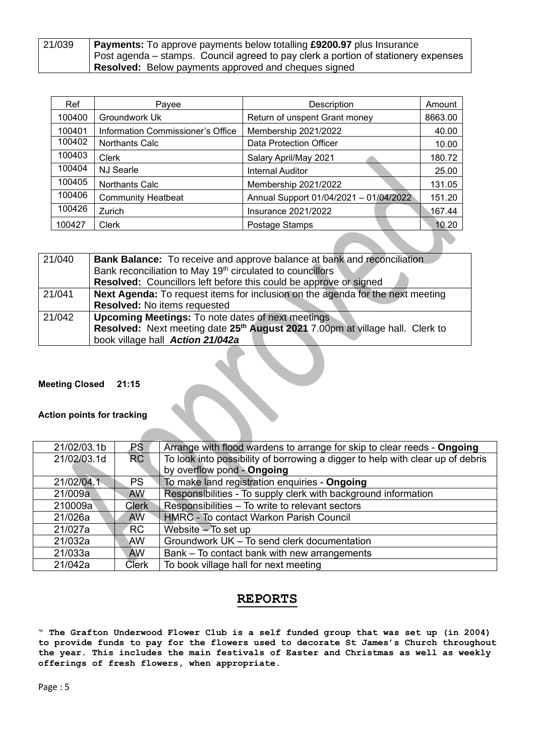| 21/039 | <b>Payments:</b> To approve payments below totalling £9200.97 plus Insurance       |  |  |
|--------|------------------------------------------------------------------------------------|--|--|
|        | Post agenda – stamps. Council agreed to pay clerk a portion of stationery expenses |  |  |
|        | Resolved: Below payments approved and cheques signed                               |  |  |

| Ref    | Payee                             | Description                            | Amount  |
|--------|-----------------------------------|----------------------------------------|---------|
| 100400 | Groundwork Uk                     | Return of unspent Grant money          | 8663.00 |
| 100401 | Information Commissioner's Office | Membership 2021/2022                   | 40.00   |
| 100402 | <b>Northants Calc</b>             | <b>Data Protection Officer</b>         | 10.00   |
| 100403 | <b>Clerk</b>                      | Salary April/May 2021                  | 180.72  |
| 100404 | <b>NJ Searle</b>                  | <b>Internal Auditor</b>                | 25.00   |
| 100405 | <b>Northants Calc</b>             | Membership 2021/2022                   | 131.05  |
| 100406 | <b>Community Heatbeat</b>         | Annual Support 01/04/2021 - 01/04/2022 | 151.20  |
| 100426 | Zurich                            | <b>Insurance 2021/2022</b>             | 167.44  |
| 100427 | <b>Clerk</b>                      | Postage Stamps                         | 10.20   |

| 21/040 | <b>Bank Balance:</b> To receive and approve balance at bank and reconciliation            |  |  |
|--------|-------------------------------------------------------------------------------------------|--|--|
|        | Bank reconciliation to May 19 <sup>th</sup> circulated to councillors                     |  |  |
|        | <b>Resolved:</b> Councillors left before this could be approve or signed                  |  |  |
| 21/041 | Next Agenda: To request items for inclusion on the agenda for the next meeting            |  |  |
|        | <b>Resolved:</b> No items requested                                                       |  |  |
| 21/042 | <b>Upcoming Meetings:</b> To note dates of next meetings                                  |  |  |
|        | Resolved: Next meeting date 25 <sup>th</sup> August 2021 7.00pm at village hall. Clerk to |  |  |
|        | book village hall Action 21/042a                                                          |  |  |

#### **Meeting Closed 21:15**

#### **Action points for tracking**

| 21/02/03.1b | <b>PS</b>    | Arrange with flood wardens to arrange for skip to clear reeds - Ongoing        |
|-------------|--------------|--------------------------------------------------------------------------------|
| 21/02/03.1d | <b>RC</b>    | To look into possibility of borrowing a digger to help with clear up of debris |
|             |              | by overflow pond - Ongoing                                                     |
| 21/02/04.1  | <b>PS</b>    | To make land registration enquiries - Ongoing                                  |
| 21/009a     | <b>AW</b>    | Responsibilities - To supply clerk with background information                 |
| 210009a     | <b>Clerk</b> | Responsibilities - To write to relevant sectors                                |
| 21/026a     | <b>AW</b>    | <b>HMRC</b> - To contact Warkon Parish Council                                 |
| 21/027a     | <b>RC</b>    | Website - To set up                                                            |
| 21/032a     | AW.          | Groundwork UK - To send clerk documentation                                    |
| 21/033a     | <b>AW</b>    | Bank – To contact bank with new arrangements                                   |
| 21/042a     | <b>Clerk</b> | To book village hall for next meeting                                          |

### **REPORTS**

**" The Grafton Underwood Flower Club is a self funded group that was set up (in 2004) to provide funds to pay for the flowers used to decorate St James's Church throughout the year. This includes the main festivals of Easter and Christmas as well as weekly offerings of fresh flowers, when appropriate.**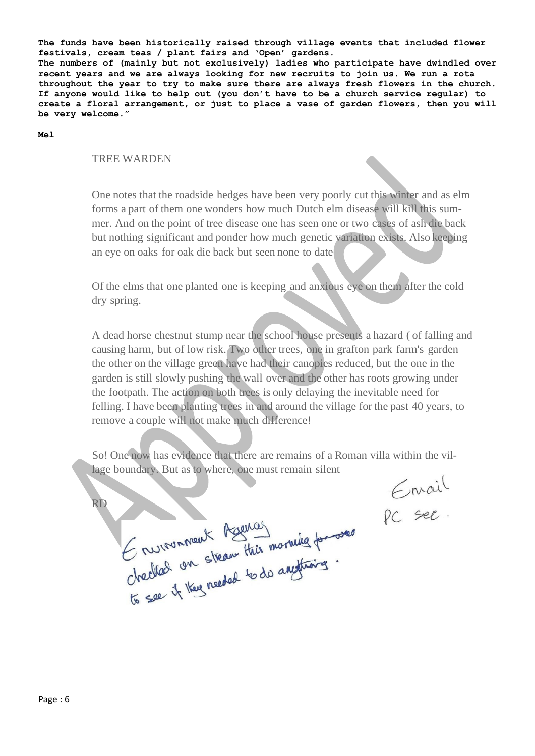**The funds have been historically raised through village events that included flower festivals, cream teas / plant fairs and 'Open' gardens. The numbers of (mainly but not exclusively) ladies who participate have dwindled over recent years and we are always looking for new recruits to join us. We run a rota throughout the year to try to make sure there are always fresh flowers in the church. If anyone would like to help out (you don't have to be a church service regular) to create a floral arrangement, or just to place a vase of garden flowers, then you will be very welcome."**

**Mel**

#### TREE WARDEN

One notes that the roadside hedges have been very poorly cut this winter and as elm forms a part of them one wonders how much Dutch elm disease will kill this summer. And on the point of tree disease one has seen one or two cases of ash die back but nothing significant and ponder how much genetic variation exists. Also keeping an eye on oaks for oak die back but seen none to date

Of the elms that one planted one is keeping and anxious eye on them after the cold dry spring.

A dead horse chestnut stump near the school house presents a hazard ( of falling and causing harm, but of low risk. Two other trees, one in grafton park farm's garden the other on the village green have had their canopies reduced, but the one in the garden is still slowly pushing the wall over and the other has roots growing under the footpath. The action on both trees is only delaying the inevitable need for felling. I have been planting trees in and around the village for the past 40 years, to remove a couple will not make much difference!

So! One now has evidence that there are remains of a Roman villa within the village boundary. But as to where, one must remain silent

RD

Enrail

Grunnment Agencer<br>Checked on steam this morning for ones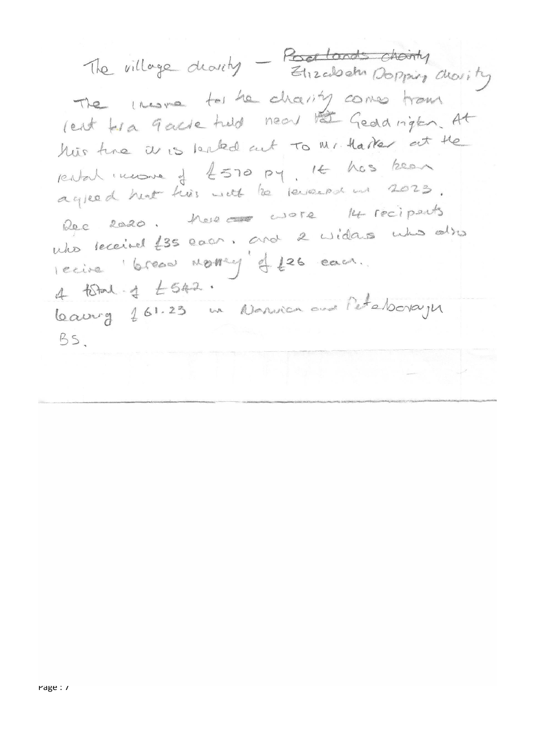The village drovity - Pourtands choirty The Instead for he charity comes trous rent tra 9 acre turd near the Geddrigten. At hus the are leaked out to Mr. Harter at the run image of 4570 py. It has been rental income of ESTO 127. agreem in there are note the recipents Rec 2020. There and 2 widers who also nuo recente con moment et 26 carr.  $4\sqrt{641} \cdot 4\sqrt{643} \cdot$ Laurg 261.23 en Nanvier aux l'étaborages BS.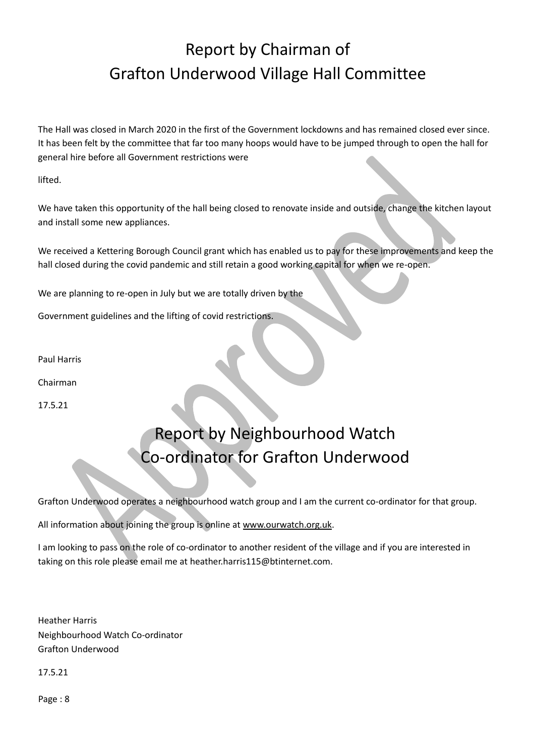# Report by Chairman of Grafton Underwood Village Hall Committee

The Hall was closed in March 2020 in the first of the Government lockdowns and has remained closed ever since. It has been felt by the committee that far too many hoops would have to be jumped through to open the hall for general hire before all Government restrictions were

lifted.

We have taken this opportunity of the hall being closed to renovate inside and outside, change the kitchen layout and install some new appliances.

We received a Kettering Borough Council grant which has enabled us to pay for these improvements and keep the hall closed during the covid pandemic and still retain a good working capital for when we re-open.

We are planning to re-open in July but we are totally driven by the

Government guidelines and the lifting of covid restrictions.

Paul Harris

Chairman

17.5.21

# Report by Neighbourhood Watch Co-ordinator for Grafton Underwood

Grafton Underwood operates a neighbourhood watch group and I am the current co-ordinator for that group.

All information about joining the group is online at [www.ourwatch.org.uk.](http://www.ourwatch.org.uk/)

I am looking to pass on the role of co-ordinator to another resident of the village and if you are interested in taking on this role please email me at heather.harris115@btinternet.com.

Heather Harris Neighbourhood Watch Co-ordinator Grafton Underwood

17.5.21

Page : 8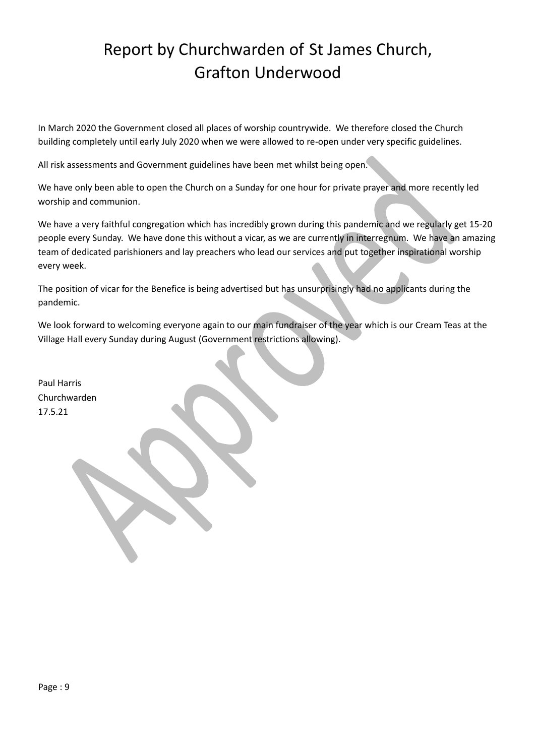## Report by Churchwarden of St James Church, Grafton Underwood

In March 2020 the Government closed all places of worship countrywide. We therefore closed the Church building completely until early July 2020 when we were allowed to re-open under very specific guidelines.

All risk assessments and Government guidelines have been met whilst being open.

We have only been able to open the Church on a Sunday for one hour for private prayer and more recently led worship and communion.

We have a very faithful congregation which has incredibly grown during this pandemic and we regularly get 15-20 people every Sunday. We have done this without a vicar, as we are currently in interregnum. We have an amazing team of dedicated parishioners and lay preachers who lead our services and put together inspirational worship every week.

The position of vicar for the Benefice is being advertised but has unsurprisingly had no applicants during the pandemic.

We look forward to welcoming everyone again to our main fundraiser of the year which is our Cream Teas at the Village Hall every Sunday during August (Government restrictions allowing).

Paul Harris Churchwarden 17.5.21